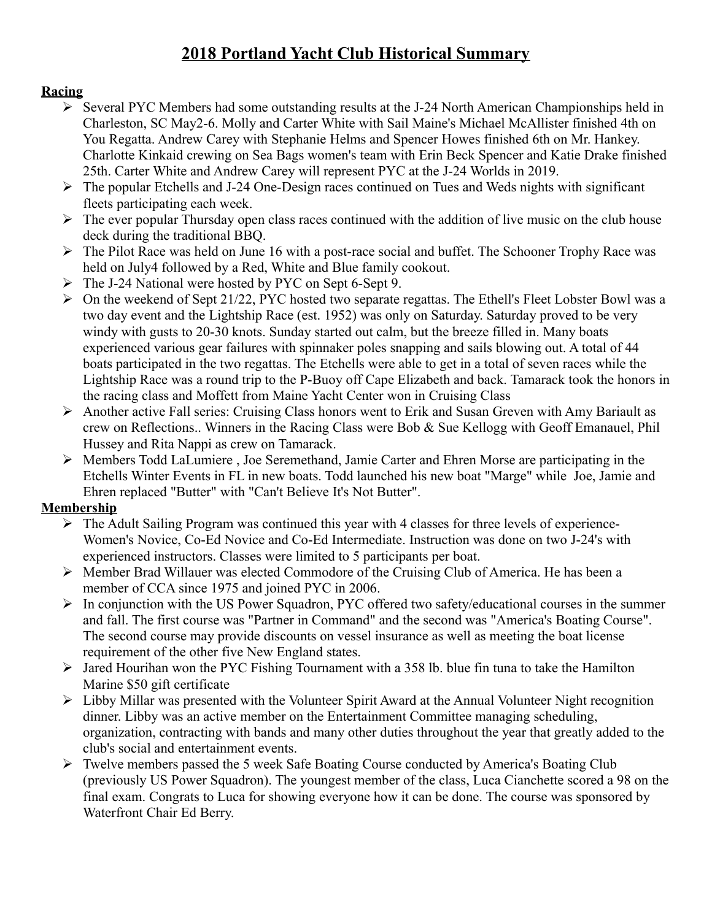# **2018 Portland Yacht Club Historical Summary**

# **Racing**

- $\triangleright$  Several PYC Members had some outstanding results at the J-24 North American Championships held in Charleston, SC May2-6. Molly and Carter White with Sail Maine's Michael McAllister finished 4th on You Regatta. Andrew Carey with Stephanie Helms and Spencer Howes finished 6th on Mr. Hankey. Charlotte Kinkaid crewing on Sea Bags women's team with Erin Beck Spencer and Katie Drake finished 25th. Carter White and Andrew Carey will represent PYC at the J-24 Worlds in 2019.
- $\triangleright$  The popular Etchells and J-24 One-Design races continued on Tues and Weds nights with significant fleets participating each week.
- $\triangleright$  The ever popular Thursday open class races continued with the addition of live music on the club house deck during the traditional BBQ.
- $\triangleright$  The Pilot Race was held on June 16 with a post-race social and buffet. The Schooner Trophy Race was held on July4 followed by a Red, White and Blue family cookout.
- The J-24 National were hosted by PYC on Sept 6-Sept 9.
- $\triangleright$  On the weekend of Sept 21/22, PYC hosted two separate regattas. The Ethell's Fleet Lobster Bowl was a two day event and the Lightship Race (est. 1952) was only on Saturday. Saturday proved to be very windy with gusts to 20-30 knots. Sunday started out calm, but the breeze filled in. Many boats experienced various gear failures with spinnaker poles snapping and sails blowing out. A total of 44 boats participated in the two regattas. The Etchells were able to get in a total of seven races while the Lightship Race was a round trip to the P-Buoy off Cape Elizabeth and back. Tamarack took the honors in the racing class and Moffett from Maine Yacht Center won in Cruising Class
- $\triangleright$  Another active Fall series: Cruising Class honors went to Erik and Susan Greven with Amy Bariault as crew on Reflections.. Winners in the Racing Class were Bob & Sue Kellogg with Geoff Emanauel, Phil Hussey and Rita Nappi as crew on Tamarack.
- Members Todd LaLumiere , Joe Seremethand, Jamie Carter and Ehren Morse are participating in the Etchells Winter Events in FL in new boats. Todd launched his new boat "Marge" while Joe, Jamie and Ehren replaced "Butter" with "Can't Believe It's Not Butter".

# **Membership**

- $\triangleright$  The Adult Sailing Program was continued this year with 4 classes for three levels of experience-Women's Novice, Co-Ed Novice and Co-Ed Intermediate. Instruction was done on two J-24's with experienced instructors. Classes were limited to 5 participants per boat.
- $\triangleright$  Member Brad Willauer was elected Commodore of the Cruising Club of America. He has been a member of CCA since 1975 and joined PYC in 2006.
- $\triangleright$  In conjunction with the US Power Squadron, PYC offered two safety/educational courses in the summer and fall. The first course was "Partner in Command" and the second was "America's Boating Course". The second course may provide discounts on vessel insurance as well as meeting the boat license requirement of the other five New England states.
- $\triangleright$  Jared Hourihan won the PYC Fishing Tournament with a 358 lb. blue fin tuna to take the Hamilton Marine \$50 gift certificate
- $\triangleright$  Libby Millar was presented with the Volunteer Spirit Award at the Annual Volunteer Night recognition dinner. Libby was an active member on the Entertainment Committee managing scheduling, organization, contracting with bands and many other duties throughout the year that greatly added to the club's social and entertainment events.
- $\triangleright$  Twelve members passed the 5 week Safe Boating Course conducted by America's Boating Club (previously US Power Squadron). The youngest member of the class, Luca Cianchette scored a 98 on the final exam. Congrats to Luca for showing everyone how it can be done. The course was sponsored by Waterfront Chair Ed Berry.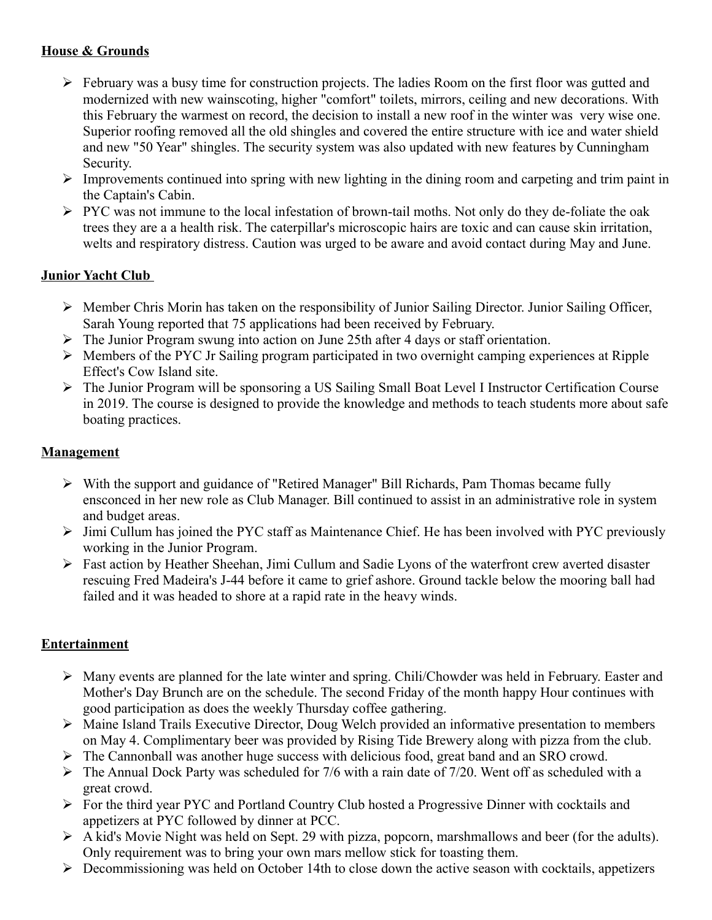# **House & Grounds**

- $\triangleright$  February was a busy time for construction projects. The ladies Room on the first floor was gutted and modernized with new wainscoting, higher "comfort" toilets, mirrors, ceiling and new decorations. With this February the warmest on record, the decision to install a new roof in the winter was very wise one. Superior roofing removed all the old shingles and covered the entire structure with ice and water shield and new "50 Year" shingles. The security system was also updated with new features by Cunningham Security.
- $\triangleright$  Improvements continued into spring with new lighting in the dining room and carpeting and trim paint in the Captain's Cabin.
- PYC was not immune to the local infestation of brown-tail moths. Not only do they de-foliate the oak trees they are a a health risk. The caterpillar's microscopic hairs are toxic and can cause skin irritation, welts and respiratory distress. Caution was urged to be aware and avoid contact during May and June.

## **Junior Yacht Club**

- $\triangleright$  Member Chris Morin has taken on the responsibility of Junior Sailing Director. Junior Sailing Officer, Sarah Young reported that 75 applications had been received by February.
- The Junior Program swung into action on June 25th after 4 days or staff orientation.
- $\triangleright$  Members of the PYC Jr Sailing program participated in two overnight camping experiences at Ripple Effect's Cow Island site.
- The Junior Program will be sponsoring a US Sailing Small Boat Level I Instructor Certification Course in 2019. The course is designed to provide the knowledge and methods to teach students more about safe boating practices.

#### **Management**

- $\triangleright$  With the support and guidance of "Retired Manager" Bill Richards, Pam Thomas became fully ensconced in her new role as Club Manager. Bill continued to assist in an administrative role in system and budget areas.
- $\triangleright$  Jimi Cullum has joined the PYC staff as Maintenance Chief. He has been involved with PYC previously working in the Junior Program.
- Fast action by Heather Sheehan, Jimi Cullum and Sadie Lyons of the waterfront crew averted disaster rescuing Fred Madeira's J-44 before it came to grief ashore. Ground tackle below the mooring ball had failed and it was headed to shore at a rapid rate in the heavy winds.

#### **Entertainment**

- Many events are planned for the late winter and spring. Chili/Chowder was held in February. Easter and Mother's Day Brunch are on the schedule. The second Friday of the month happy Hour continues with good participation as does the weekly Thursday coffee gathering.
- Maine Island Trails Executive Director, Doug Welch provided an informative presentation to members on May 4. Complimentary beer was provided by Rising Tide Brewery along with pizza from the club.
- $\triangleright$  The Cannonball was another huge success with delicious food, great band and an SRO crowd.
- $\triangleright$  The Annual Dock Party was scheduled for 7/6 with a rain date of 7/20. Went off as scheduled with a great crowd.
- For the third year PYC and Portland Country Club hosted a Progressive Dinner with cocktails and appetizers at PYC followed by dinner at PCC.
- A kid's Movie Night was held on Sept. 29 with pizza, popcorn, marshmallows and beer (for the adults). Only requirement was to bring your own mars mellow stick for toasting them.
- $\triangleright$  Decommissioning was held on October 14th to close down the active season with cocktails, appetizers